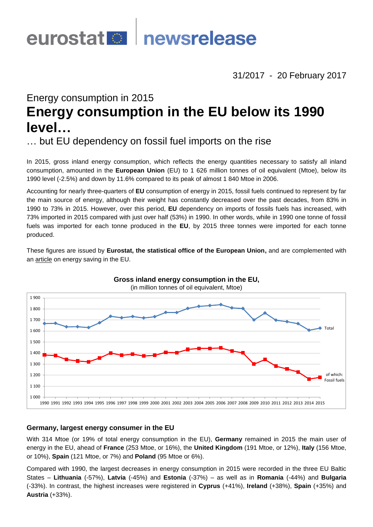

31/2017 - 20 February 2017

# Energy consumption in 2015 **Energy consumption in the EU below its 1990 level…**

… but EU dependency on fossil fuel imports on the rise

In 2015, gross inland energy consumption, which reflects the energy quantities necessary to satisfy all inland consumption, amounted in the **European Union** (EU) to 1 626 million tonnes of oil equivalent (Mtoe), below its 1990 level (-2.5%) and down by 11.6% compared to its peak of almost 1 840 Mtoe in 2006.

Accounting for nearly three-quarters of **EU** consumption of energy in 2015, fossil fuels continued to represent by far the main source of energy, although their weight has constantly decreased over the past decades, from 83% in 1990 to 73% in 2015. However, over this period, **EU** dependency on imports of fossils fuels has increased, with 73% imported in 2015 compared with just over half (53%) in 1990. In other words, while in 1990 one tonne of fossil fuels was imported for each tonne produced in the **EU**, by 2015 three tonnes were imported for each tonne produced.

These figures are issued by **Eurostat, the statistical office of the European Union,** and are complemented with an [article](http://ec.europa.eu/eurostat/statistics-explained/index.php/Energy_saving_statistics) on energy saving in the EU.



## **Germany, largest energy consumer in the EU**

With 314 Mtoe (or 19% of total energy consumption in the EU), **Germany** remained in 2015 the main user of energy in the EU, ahead of **France** (253 Mtoe, or 16%), the **United Kingdom** (191 Mtoe, or 12%), **Italy** (156 Mtoe, or 10%), **Spain** (121 Mtoe, or 7%) and **Poland** (95 Mtoe or 6%).

Compared with 1990, the largest decreases in energy consumption in 2015 were recorded in the three EU Baltic States – **Lithuania** (-57%), **Latvia** (-45%) and **Estonia** (-37%) – as well as in **Romania** (-44%) and **Bulgaria** (-33%). In contrast, the highest increases were registered in **Cyprus** (+41%), **Ireland** (+38%), **Spain** (+35%) and **Austria** (+33%).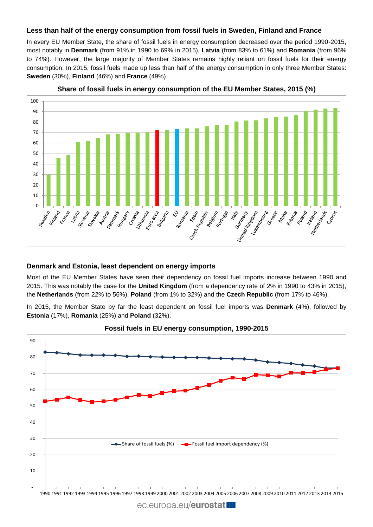## **Less than half of the energy consumption from fossil fuels in Sweden, Finland and France**

In every EU Member State, the share of fossil fuels in energy consumption decreased over the period 1990-2015, most notably in **Denmark** (from 91% in 1990 to 69% in 2015), **Latvia** (from 83% to 61%) and **Romania** (from 96% to 74%). However, the large majority of Member States remains highly reliant on fossil fuels for their energy consumption. In 2015, fossil fuels made up less than half of the energy consumption in only three Member States: **Sweden** (30%), **Finland** (46%) and **France** (49%).



**Share of fossil fuels in energy consumption of the EU Member States, 2015 (%)**

### **Denmark and Estonia, least dependent on energy imports**

Most of the EU Member States have seen their dependency on fossil fuel imports increase between 1990 and 2015. This was notably the case for the **United Kingdom** (from a dependency rate of 2% in 1990 to 43% in 2015), the **Netherlands** (from 22% to 56%), **Poland** (from 1% to 32%) and the **Czech Republic** (from 17% to 46%).

In 2015, the Member State by far the least dependent on fossil fuel imports was **Denmark** (4%), followed by **Estonia** (17%), **Romania** (25%) and **Poland** (32%).





ec.europa.eu/eurostat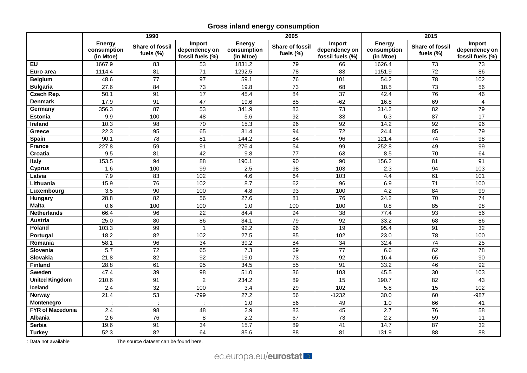# **Gross inland energy consumption**

|                         | 1990                                      |                                     |                                             | 2005                                      |                                     |                                             | 2015                                      |                                     |                                             |
|-------------------------|-------------------------------------------|-------------------------------------|---------------------------------------------|-------------------------------------------|-------------------------------------|---------------------------------------------|-------------------------------------------|-------------------------------------|---------------------------------------------|
|                         | <b>Energy</b><br>consumption<br>(in Mtoe) | <b>Share of fossil</b><br>fuels (%) | Import<br>dependency on<br>fossil fuels (%) | <b>Energy</b><br>consumption<br>(in Mtoe) | <b>Share of fossil</b><br>fuels (%) | Import<br>dependency on<br>fossil fuels (%) | <b>Energy</b><br>consumption<br>(in Mtoe) | <b>Share of fossil</b><br>fuels (%) | Import<br>dependency on<br>fossil fuels (%) |
| EU                      | 1667.9                                    | 83                                  | 53                                          | 1831.2                                    | 79                                  | 66                                          | 1626.4                                    | 73                                  | 73                                          |
| Euro area               | 1114.4                                    | 81                                  | $\overline{71}$                             | 1292.5                                    | 78                                  | $\overline{83}$                             | 1151.9                                    | $\overline{72}$                     | $\overline{86}$                             |
| <b>Belgium</b>          | 48.6                                      | $\overline{77}$                     | $\overline{97}$                             | 59.1                                      | 76                                  | 101                                         | 54.2                                      | $\overline{78}$                     | 102                                         |
| <b>Bulgaria</b>         | 27.6                                      | 84                                  | 73                                          | 19.8                                      | 73                                  | 68                                          | 18.5                                      | 73                                  | 56                                          |
| Czech Rep.              | 50.1                                      | 91                                  | $\overline{17}$                             | 45.4                                      | 84                                  | $\overline{37}$                             | 42.4                                      | 76                                  | 46                                          |
| <b>Denmark</b>          | 17.9                                      | 91                                  | 47                                          | 19.6                                      | 85                                  | $-62$                                       | 16.8                                      | 69                                  | $\overline{4}$                              |
| Germany                 | 356.3                                     | 87                                  | 53                                          | 341.9                                     | 83                                  | $\overline{73}$                             | 314.2                                     | 82                                  | 79                                          |
| <b>Estonia</b>          | 9.9                                       | 100                                 | 48                                          | 5.6                                       | 92                                  | 33                                          | 6.3                                       | 87                                  | 17                                          |
| Ireland                 | 10.3                                      | 98                                  | 70                                          | 15.3                                      | 96                                  | 92                                          | 14.2                                      | 92                                  | 96                                          |
| <b>Greece</b>           | 22.3                                      | 95                                  | 65                                          | 31.4                                      | 94                                  | $\overline{72}$                             | 24.4                                      | 85                                  | 79                                          |
| Spain                   | 90.1                                      | 78                                  | 81                                          | 144.2                                     | 84                                  | 96                                          | 121.4                                     | 74                                  | 98                                          |
| <b>France</b>           | 227.8                                     | 59                                  | 91                                          | 276.4                                     | 54                                  | 99                                          | 252.8                                     | 49                                  | 99                                          |
| Croatia                 | 9.5                                       | 81                                  | 42                                          | 9.8                                       | $\overline{77}$                     | 63                                          | 8.5                                       | $\overline{70}$                     | 64                                          |
| Italy                   | 153.5                                     | 94                                  | $\overline{88}$                             | 190.1                                     | 90                                  | $\overline{90}$                             | 156.2                                     | 81                                  | 91                                          |
| <b>Cyprus</b>           | 1.6                                       | 100                                 | 99                                          | 2.5                                       | $\overline{98}$                     | $\frac{103}{2}$                             | 2.3                                       | 94                                  | $\frac{103}{2}$                             |
| Latvia                  | 7.9                                       | 83                                  | 102                                         | 4.6                                       | 64                                  | 103                                         | 4.4                                       | 61                                  | 101                                         |
| Lithuania               | 15.9                                      | 76                                  | 102                                         | 8.7                                       | 62                                  | 96                                          | 6.9                                       | 71                                  | 100                                         |
| Luxembourg              | $\overline{3.5}$                          | 90                                  | 100                                         | 4.8                                       | 93                                  | 100                                         | 4.2                                       | 84                                  | 99                                          |
| Hungary                 | 28.8                                      | $\overline{82}$                     | 56                                          | 27.6                                      | 81                                  | 76                                          | 24.2                                      | $\overline{70}$                     | $\overline{74}$                             |
| <b>Malta</b>            | 0.6                                       | 100                                 | 100                                         | 1.0                                       | 100                                 | 100                                         | 0.8                                       | 85                                  | 98                                          |
| <b>Netherlands</b>      | 66.4                                      | 96                                  | 22                                          | 84.4                                      | 94                                  | 38                                          | 77.4                                      | 93                                  | 56                                          |
| <b>Austria</b>          | 25.0                                      | 80                                  | 86                                          | 34.1                                      | 79                                  | 92                                          | 33.2                                      | 68                                  | 86                                          |
| Poland                  | 103.3                                     | 99                                  |                                             | 92.2                                      | 96                                  | $\overline{19}$                             | 95.4                                      | 91                                  | $\overline{32}$                             |
| Portugal                | 18.2                                      | 82                                  | 102                                         | 27.5                                      | 85                                  | 102                                         | 23.0                                      | $\overline{78}$                     | 100                                         |
| Romania                 | 58.1                                      | 96                                  | $\overline{34}$                             | 39.2                                      | 84                                  | $\overline{34}$                             | 32.4                                      | 74                                  | $\overline{25}$                             |
| Slovenia                | 5.7                                       | $\overline{72}$                     | 65                                          | 7.3                                       | 69                                  | $\overline{77}$                             | 6.6                                       | 62                                  | $\overline{78}$                             |
| Slovakia                | 21.8                                      | 82                                  | 92                                          | 19.0                                      | 73                                  | 92                                          | 16.4                                      | 65                                  | 90                                          |
| <b>Finland</b>          | 28.8                                      | 61                                  | 95                                          | 34.5                                      | 55                                  | $\overline{91}$                             | 33.2                                      | 46                                  | $\overline{92}$                             |
| <b>Sweden</b>           | 47.4                                      | 39                                  | 98                                          | 51.0                                      | 36                                  | 103                                         | 45.5                                      | 30                                  | 103                                         |
| <b>United Kingdom</b>   | 210.6                                     | 91                                  | $\overline{2}$                              | 234.2                                     | 89                                  | 15                                          | 190.7                                     | 82                                  | 43                                          |
| <b>Iceland</b>          | 2.4                                       | 32                                  | 100                                         | 3.4                                       | 29                                  | 102                                         | 5.8                                       | 15                                  | 102                                         |
| Norway                  | 21.4                                      | 53                                  | $-799$                                      | 27.2                                      | 56                                  | $-1232$                                     | 30.0                                      | 60                                  | $-987$                                      |
| Montenegro              | $\ddot{\cdot}$                            | $\hat{\mathcal{L}}$                 | ÷                                           | 1.0                                       | 56                                  | 49                                          | 1.0                                       | 66                                  | 41                                          |
| <b>FYR of Macedonia</b> | 2.4                                       | 98                                  | 48                                          | 2.9                                       | 83                                  | 45                                          | 2.7                                       | 76                                  | 58                                          |
| <b>Albania</b>          | 2.6                                       | 76                                  | 8                                           | 2.2                                       | 67                                  | 73                                          | 2.2                                       | 59                                  | 11                                          |
| <b>Serbia</b>           | 19.6                                      | 91                                  | 34                                          | 15.7                                      | 89                                  | $\overline{41}$                             | 14.7                                      | 87                                  | 32                                          |
| <b>Turkey</b>           | 52.3                                      | $\overline{82}$                     | 64                                          | 85.6                                      | $\overline{88}$                     | $\overline{81}$                             | 131.9                                     | $\overline{88}$                     | $\overline{88}$                             |

: Data not available The source dataset can be foun[d here.](http://appsso.eurostat.ec.europa.eu/nui/show.do?query=BOOKMARK_DS-053524_QID_5B0BACF1_UID_-3F171EB0&layout=TIME,C,X,0;GEO,L,Y,0;UNIT,L,Z,0;PRODUCT,L,Z,1;INDIC_NRG,L,Z,2;INDICATORS,C,Z,3;&zSelection=DS-053524INDIC_NRG,B_100900;DS-053524INDICATORS,OBS_FLAG;DS-053524PRODUCT,0000;DS-053524UNIT,KTOE;&rankName1=UNIT_1_2_-1_2&rankName2=INDICATORS_1_2_-1_2&rankName3=PRODUCT_1_2_-1_2&rankName4=INDIC-NRG_1_2_-1_2&rankName5=TIME_1_0_0_0&rankName6=GEO_1_2_0_1&sortC=ASC_-1_FIRST&rStp=&cStp=&rDCh=&cDCh=&rDM=true&cDM=true&footnes=false&empty=false&wai=false&time_mode=ROLLING&time_most_recent=true&lang=EN&cfo=%23%23%23%2C%23%23%23.%23%23%23)